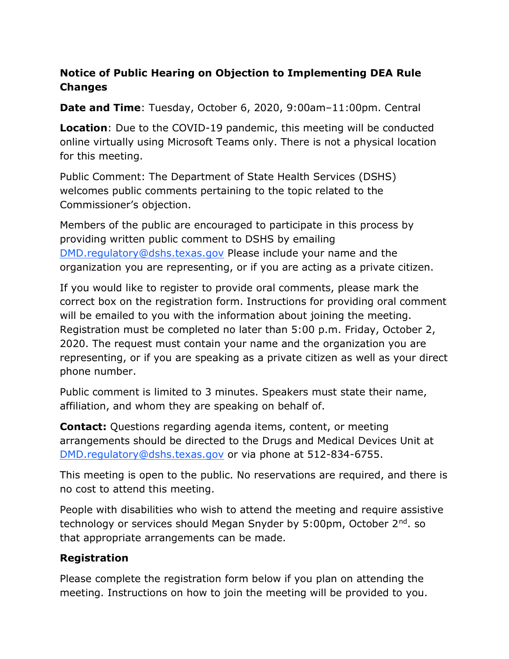## Notice of Public Hearing on Objection to Implementing DEA Rule Changes

Date and Time: Tuesday, October 6, 2020, 9:00am–11:00pm. Central

**Location:** Due to the COVID-19 pandemic, this meeting will be conducted online virtually using Microsoft Teams only. There is not a physical location for this meeting.

Public Comment: The Department of State Health Services (DSHS) welcomes public comments pertaining to the topic related to the Commissioner's objection.

Members of the public are encouraged to participate in this process by providing written public comment to DSHS by emailing DMD.regulatory@dshs.texas.gov Please include your name and the organization you are representing, or if you are acting as a private citizen.

If you would like to register to provide oral comments, please mark the correct box on the registration form. Instructions for providing oral comment will be emailed to you with the information about joining the meeting. Registration must be completed no later than 5:00 p.m. Friday, October 2, 2020. The request must contain your name and the organization you are representing, or if you are speaking as a private citizen as well as your direct phone number.

Public comment is limited to 3 minutes. Speakers must state their name, affiliation, and whom they are speaking on behalf of.

**Contact:** Questions regarding agenda items, content, or meeting arrangements should be directed to the Drugs and Medical Devices Unit at DMD.regulatory@dshs.texas.gov or via phone at 512-834-6755.

This meeting is open to the public. No reservations are required, and there is no cost to attend this meeting.

People with disabilities who wish to attend the meeting and require assistive technology or services should Megan Snyder by 5:00pm, October 2<sup>nd</sup>, so that appropriate arrangements can be made.

## Registration

Please complete the registration form below if you plan on attending the meeting. Instructions on how to join the meeting will be provided to you.